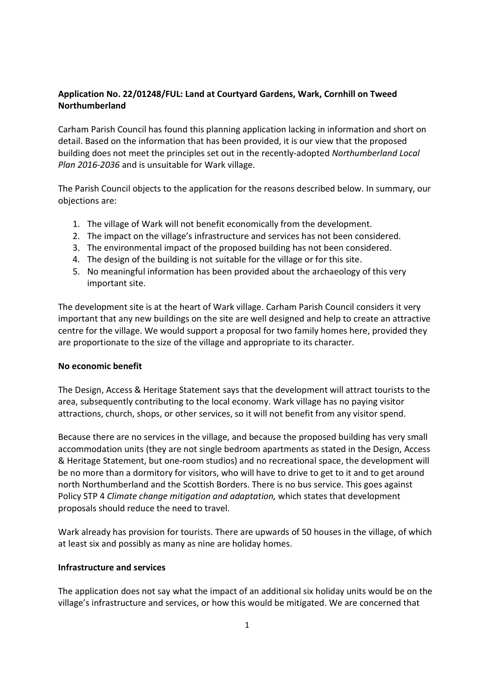# Application No. 22/01248/FUL: Land at Courtyard Gardens, Wark, Cornhill on Tweed Northumberland

Carham Parish Council has found this planning application lacking in information and short on detail. Based on the information that has been provided, it is our view that the proposed building does not meet the principles set out in the recently-adopted Northumberland Local Plan 2016-2036 and is unsuitable for Wark village.

The Parish Council objects to the application for the reasons described below. In summary, our objections are:

- 1. The village of Wark will not benefit economically from the development.
- 2. The impact on the village's infrastructure and services has not been considered.
- 3. The environmental impact of the proposed building has not been considered.
- 4. The design of the building is not suitable for the village or for this site.
- 5. No meaningful information has been provided about the archaeology of this very important site.

The development site is at the heart of Wark village. Carham Parish Council considers it very important that any new buildings on the site are well designed and help to create an attractive centre for the village. We would support a proposal for two family homes here, provided they are proportionate to the size of the village and appropriate to its character.

## No economic benefit

The Design, Access & Heritage Statement says that the development will attract tourists to the area, subsequently contributing to the local economy. Wark village has no paying visitor attractions, church, shops, or other services, so it will not benefit from any visitor spend.

Because there are no services in the village, and because the proposed building has very small accommodation units (they are not single bedroom apartments as stated in the Design, Access & Heritage Statement, but one-room studios) and no recreational space, the development will be no more than a dormitory for visitors, who will have to drive to get to it and to get around north Northumberland and the Scottish Borders. There is no bus service. This goes against Policy STP 4 Climate change mitigation and adaptation, which states that development proposals should reduce the need to travel.

Wark already has provision for tourists. There are upwards of 50 houses in the village, of which at least six and possibly as many as nine are holiday homes.

## Infrastructure and services

The application does not say what the impact of an additional six holiday units would be on the village's infrastructure and services, or how this would be mitigated. We are concerned that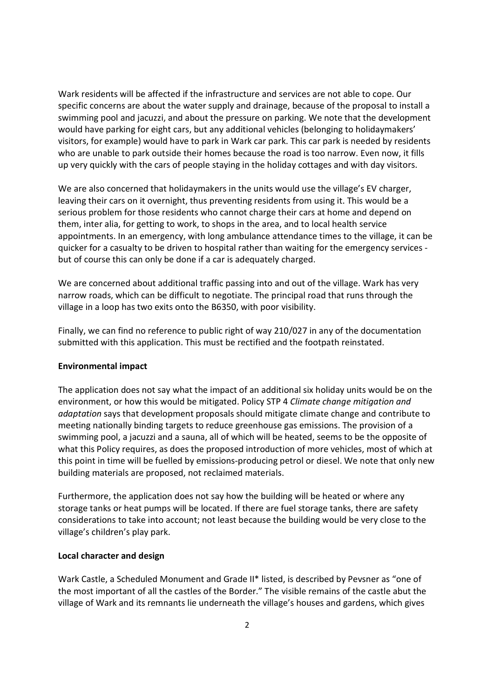Wark residents will be affected if the infrastructure and services are not able to cope. Our specific concerns are about the water supply and drainage, because of the proposal to install a swimming pool and jacuzzi, and about the pressure on parking. We note that the development would have parking for eight cars, but any additional vehicles (belonging to holidaymakers' visitors, for example) would have to park in Wark car park. This car park is needed by residents who are unable to park outside their homes because the road is too narrow. Even now, it fills up very quickly with the cars of people staying in the holiday cottages and with day visitors.

We are also concerned that holidaymakers in the units would use the village's EV charger, leaving their cars on it overnight, thus preventing residents from using it. This would be a serious problem for those residents who cannot charge their cars at home and depend on them, inter alia, for getting to work, to shops in the area, and to local health service appointments. In an emergency, with long ambulance attendance times to the village, it can be quicker for a casualty to be driven to hospital rather than waiting for the emergency services but of course this can only be done if a car is adequately charged.

We are concerned about additional traffic passing into and out of the village. Wark has very narrow roads, which can be difficult to negotiate. The principal road that runs through the village in a loop has two exits onto the B6350, with poor visibility.

Finally, we can find no reference to public right of way 210/027 in any of the documentation submitted with this application. This must be rectified and the footpath reinstated.

## Environmental impact

The application does not say what the impact of an additional six holiday units would be on the environment, or how this would be mitigated. Policy STP 4 Climate change mitigation and adaptation says that development proposals should mitigate climate change and contribute to meeting nationally binding targets to reduce greenhouse gas emissions. The provision of a swimming pool, a jacuzzi and a sauna, all of which will be heated, seems to be the opposite of what this Policy requires, as does the proposed introduction of more vehicles, most of which at this point in time will be fuelled by emissions-producing petrol or diesel. We note that only new building materials are proposed, not reclaimed materials.

Furthermore, the application does not say how the building will be heated or where any storage tanks or heat pumps will be located. If there are fuel storage tanks, there are safety considerations to take into account; not least because the building would be very close to the village's children's play park.

## Local character and design

Wark Castle, a Scheduled Monument and Grade II\* listed, is described by Pevsner as "one of the most important of all the castles of the Border." The visible remains of the castle abut the village of Wark and its remnants lie underneath the village's houses and gardens, which gives